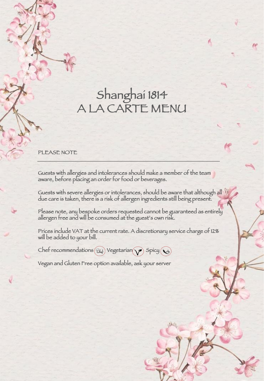# Shanghai 1814 A LA CARTE MENU

PLEASE NOTE

Guests with allergies and intolerances should make a member of the team aware, before placing an order for food or beverages.

Guests with severe allergies or intolerances, should be aware that although all due care is taken, there is a risk of allergen ingredients still being present.

Please note, any bespoke orders requested cannot be guaranteed as entirely allergen free and will be consumed at the guest's own risk.

Prices include VAT at the current rate. A discretionary service charge of 12% will be added to your bill.

Chef recommendations  $(\widehat{\epsilon}_{k,f})$  Vegetarian  $\gamma$  Spicy  $\mathcal{Q}_k$ 

Vegan and Gluten Free option available, ask your server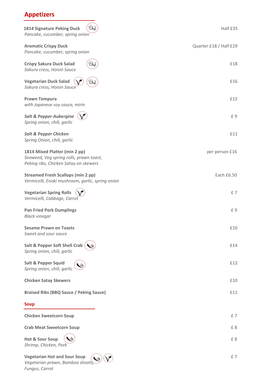# **Appetizers**

| Ehef<br>1814 Signature Peking Duck<br>Pancake, cucumber, spring onion                                             | Half £35               |
|-------------------------------------------------------------------------------------------------------------------|------------------------|
| <b>Aromatic Crispy Duck</b><br>Pancake, cucumber, spring onion                                                    | Quarter £18 / Half £29 |
| <b>Crispy Sakura Duck Salad</b><br>Sakura cress, Hoisin Sauce                                                     | £18                    |
| <b>Vegetarian Duck Salad</b><br>Ehef<br>Sakura cress, Hoisin Sauce                                                | £16                    |
| <b>Prawn Tempura</b><br>with Japanese soy sauce, mirin                                                            | £12                    |
| <b>Salt &amp; Pepper Aubergine</b><br>Spring onion, chili, garlic                                                 | £9                     |
| <b>Salt &amp; Pepper Chicken</b><br>Spring Onion, chili, garlic                                                   | £11                    |
| 1814 Mixed Platter (min 2 pp)<br>Seaweed, Veg spring rolls, prawn toast,<br>Peking ribs, Chicken Satay on skewers | per person £16         |
| <b>Streamed Fresh Scallops (min 2 pp)</b><br>Vermicelli, Enoki mushroom, garlic, spring onion                     | Each £6.50             |
| <b>Vegetarian Spring Rolls</b><br>Vermicelli, Cabbage, Carrot                                                     | £7                     |
| <b>Pan Fried Pork Dumplings</b><br><b>Black vinegar</b>                                                           | £9                     |
| <b>Sesame Prawn on Toasts</b><br>Sweet and sour sauce                                                             | £10                    |
| <b>Salt &amp; Pepper Soft Shell Crab</b><br>Spring onion, chili, garlic                                           | £14                    |
| <b>Salt &amp; Pepper Squid</b><br>Spring onion, chili, garlic                                                     | £12                    |
| <b>Chicken Satay Skewers</b>                                                                                      | £10                    |
| <b>Braised Ribs (BBQ Sauce / Peking Sauce)</b>                                                                    | £11                    |
| <b>Soup</b>                                                                                                       |                        |
| <b>Chicken Sweetcorn Soup</b>                                                                                     | £7                     |
| <b>Crab Meat Sweetcorn Soup</b>                                                                                   | £8                     |
| <b>Hot &amp; Sour Soup</b><br>Shrimp, Chicken, Pork                                                               | £8                     |
| <b>Vegetarian Hot and Sour Soup</b><br>$\left($ $\mathbf{A}$<br>$\bigcap$                                         | £7                     |

*Vegetarian prawn, Bamboo shoots, Fungus, Carrot*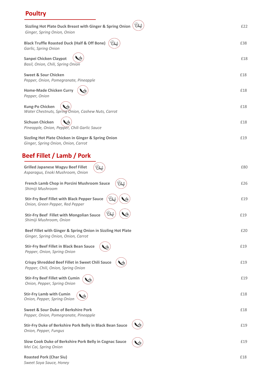# **Poultry**

| Sizzling Hot Plate Duck Breast with Ginger & Spring Onion (Cheft<br>Ginger, Spring Onion, Onion     | £22 |
|-----------------------------------------------------------------------------------------------------|-----|
| <b>Black Truffle Roasted Duck (Half &amp; Off Bone)</b><br>Chef<br>Garlic, Spring Onion             | £38 |
| Sanpei Chicken Claypot<br>Basil, Onion, Chili, Spring Onion                                         | £18 |
| <b>Sweet &amp; Sour Chicken</b><br>Pepper, Onion, Pomegranate, Pineapple                            | £18 |
| <b>Home-Made Chicken Curry</b><br>Pepper, Onion                                                     | £18 |
| Kung-Po Chicken<br>Water Chestnuts, Spring Onion, Cashew Nuts, Carrot                               | £18 |
| Sichuan Chicken<br>Pineapple, Onion, Pepper, Chili Garlic Sauce                                     | £18 |
| Sizzling Hot Plate Chicken in Ginger & Spring Onion<br>Ginger, Spring Onion, Onion, Carrot          | £19 |
| Beef Fillet / Lamb / Pork                                                                           |     |
| Ehef<br><b>Grilled Japanese Wagyu Beef Fillet</b><br>Asparagus, Enoki Mushroom, Onion               | £80 |
| Ehef<br>French Lamb Chop in Porcini Mushroom Sauce<br>Shimiji Mushroom                              | £26 |
| Ehef<br><b>Stir-Fry Beef Fillet with Black Pepper Sauce</b><br>Onion, Green Pepper, Red Pepper      | £19 |
| <b>Stir-Fry Beef Fillet with Mongolian Sauce</b><br>Shimiji Mushroom, Onion                         | £19 |
| Beef Fillet with Ginger & Spring Onion in Sizzling Hot Plate<br>Ginger, Spring Onion, Onion, Carrot | £20 |
| <b>Stir-Fry Beef Fillet in Black Bean Sauce</b><br>Pepper, Onion, Spring Onion                      | £19 |
| <b>Crispy Shredded Beef Fillet in Sweet Chili Sauce</b><br>Pepper, Chili, Onion, Spring Onion       | £19 |
| <b>Stir-Fry Beef Fillet with Cumin</b><br>Onion, Pepper, Spring Onion                               | £19 |
| <b>Stir-Fry Lamb with Cumin</b><br>Onion, Pepper, Spring Onion                                      | £18 |
| Sweet & Sour Duke of Berkshire Pork<br>Pepper, Onion, Pomegranate, Pineapple                        | £18 |
| Stir-Fry Duke of Berkshire Pork Belly in Black Bean Sauce<br>Onion, Pepper, Fungus                  | £19 |
| Slow Cook Duke of Berkshire Pork Belly in Cognac Sauce<br>Mei Cai, Spring Onion                     | £19 |
| <b>Roasted Pork (Char Siu)</b>                                                                      | £18 |

*Sweet Soya Sauce, Honey*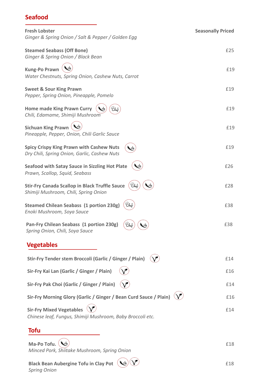## **Seafood**

| <b>Fresh Lobster</b>                                                                                   | <b>Seasonally Priced</b> |
|--------------------------------------------------------------------------------------------------------|--------------------------|
| Ginger & Spring Onion / Salt & Pepper / Golden Egg                                                     |                          |
| <b>Steamed Seabass (Off Bone)</b><br>Ginger & Spring Onion / Black Bean                                | £25                      |
| <b>Kung-Po Prawn</b><br>Water Chestnuts, Spring Onion, Cashew Nuts, Carrot                             | £19                      |
|                                                                                                        |                          |
| <b>Sweet &amp; Sour King Prawn</b><br>Pepper, Spring Onion, Pineapple, Pomelo                          | £19                      |
| <b>Home made King Prawn Curry</b><br>Ehe<br>Chili, Edamame, Shimiji Mushroom                           | £19                      |
| <b>Sichuan King Prawn</b><br>Pineapple, Pepper, Onion, Chili Garlic Sauce                              | £19                      |
| <b>Spicy Crispy King Prawn with Cashew Nuts</b><br>Dry Chili, Spring Onion, Garlic, Cashew Nuts        | £19                      |
| <b>Seafood with Satay Sauce in Sizzling Hot Plate</b><br>Prawn, Scallop, Squid, Seabass                | £26                      |
| <b>Stir-Fry Canada Scallop in Black Truffle Sauce</b><br>Ehef<br>Shimiji Mushroom, Chili, Spring Onion | £28                      |
| Ehef<br><b>Steamed Chilean Seabass (1 portion 230g)</b><br>Enoki Mushroom, Soya Sauce                  | £38                      |
| Pan-Fry Chilean Seabass (1 portion 230g)<br>Ehef<br>Spring Onion, Chili, Soya Sauce                    | £38                      |
| <b>Vegetables</b>                                                                                      |                          |
| Stir-Fry Tender stem Broccoli (Garlic / Ginger / Plain)                                                | £14                      |
| Sir-Fry Kai Lan (Garlic / Ginger / Plain)                                                              | £16                      |
| Sir-Fry Pak Choi (Garlic / Ginger / Plain)                                                             | £14                      |
| Sir-Fry Morning Glory (Garlic / Ginger / Bean Curd Sauce / Plain)                                      | £16                      |
| <b>Sir-Fry Mixed Vegetables</b><br>Chinese leaf, Fungus, Shimiji Mushroom, Baby Broccoli etc.          | £14                      |
| Tofu                                                                                                   |                          |

**Ma-Po Tofu.**  $\left(\frac{1}{2}\right)$  **E** 18 *Minced Pork, Shiitake Mushroom, Spring Onion*

**Black Bean Aubergine Tofu in Clay Pot** £18 *Spring Onion*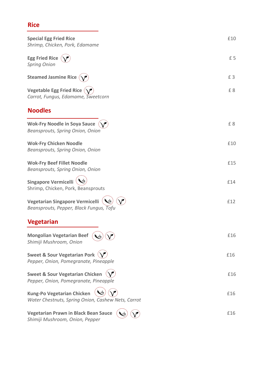# **Rice**

| <b>Special Egg Fried Rice</b><br>Shrimp, Chicken, Pork, Edamame                                   | £10 |
|---------------------------------------------------------------------------------------------------|-----|
| <b>Egg Fried Rice</b><br><b>Spring Onion</b>                                                      | £5  |
| <b>Steamed Jasmine Rice</b>                                                                       | £3  |
| <b>Vegetable Egg Fried Rice</b><br>Carrot, Fungus, Edamame, Sweetcorn                             | £8  |
| <b>Noodles</b>                                                                                    |     |
| <b>Wok-Fry Noodle in Soya Sauce</b><br>Beansprouts, Spring Onion, Onion                           | £8  |
| <b>Wok-Fry Chicken Noodle</b><br>Beansprouts, Spring Onion, Onion                                 | £10 |
| <b>Wok-Fry Beef Fillet Noodle</b><br>Beansprouts, Spring Onion, Onion                             | £15 |
| <b>Singapore Vermicelli</b><br>Shrimp, Chicken, Pork, Beansprouts                                 | £14 |
| Vegetarian Singapore Vermicelli<br>Beansprouts, Pepper, Black Fungus, Tofu                        | £12 |
| <b>Vegetarian</b>                                                                                 |     |
| <b>Mongolian Vegetarian Beef</b><br>Shimiji Mushroom, Onion                                       | £16 |
| Sweet & Sour Vegetarian Pork $\langle \sqrt{\ } \rangle$<br>Pepper, Onion, Pomegranate, Pineapple | £16 |
| <b>Sweet &amp; Sour Vegetarian Chicken</b><br>Pepper, Onion, Pomegranate, Pineapple               | £16 |
| <b>Kung-Po Vegetarian Chicken</b><br>Water Chestnuts, Spring Onion, Cashew Nets, Carrot           | £16 |
| <b>Vegetarian Prawn in Black Bean Sauce</b><br>Shimiji Mushroom, Onion, Pepper                    | £16 |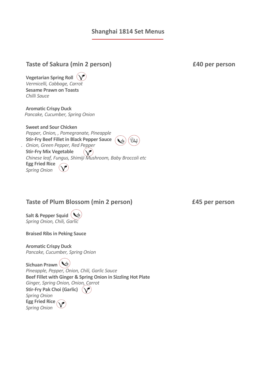#### **Shanghai 1814 Set Menus**

| <b>Vegetarian Spring Roll</b><br>Vermicelli, Cabbage, Carrot<br><b>Sesame Prawn on Toasts</b><br>Chilli Sauce                                                                                                                                                                                                     |
|-------------------------------------------------------------------------------------------------------------------------------------------------------------------------------------------------------------------------------------------------------------------------------------------------------------------|
| <b>Aromatic Crispy Duck</b><br>Pancake, Cucumber, Spring Onion                                                                                                                                                                                                                                                    |
| <b>Sweet and Sour Chicken</b><br>Pepper, Onion, , Pomegranate, Pineapple<br><b>Stir-Fry Beef Fillet in Black Pepper Sauce</b><br>$\omega_{\nu}$<br>Chef<br>Onion, Green Pepper, Red Pepper<br><b>Stir-Fry Mix Vegetable</b><br>Chinese leaf, Fungus, Shimiji Mushroom, Baby Broccoli etc<br><b>Egg Fried Rice</b> |

### **Taste of Plum Blossom (min 2 person) £45 per person**

**Salt & Pepper Squid** *Spring Onion, Chili, Garlic*

*Spring Onion*

**Braised Ribs in Peking Sauce**

**Aromatic Crispy Duck** *Pancake, Cucumber, Spring Onion*

**Sichuan Prawn** *Pineapple, Pepper, Onion, Chili, Garlic Sauce* **Beef Fillet with Ginger & Spring Onion in Sizzling Hot Plate** *Ginger, Spring Onion, Onion, Carrot* **Stir-Fry Pak Choi (Garlic)** *Spring Onion* **Egg Fried Rice** *Spring Onion*

**Taste of Sakura (min 2 person) £40 per person**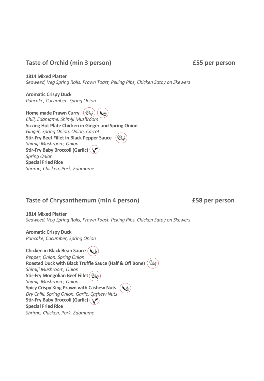#### **Taste of Orchid (min 3 person) £55 per person**

**1814 Mixed Platter** *Seaweed, Veg Spring Rolls, Prawn Toast, Peking Ribs, Chicken Satay on Skewers*

**Aromatic Crispy Duck** *Pancake, Cucumber, Spring Onion*

**Home made Prawn Curry**  *Chili, Edamame, Shimiji Mushroom* **Sizzing Hot Plate Chicken in Ginger and Spring Onion** *Ginger, Spring Onion, Onion, Carrot* **Stir-Fry Beef Fillet in Black Pepper Sauce** *Shimiji Mushroom, Onion* **Stir-Fry Baby Broccoli (Garlic)** *Spring Onion* **Special Fried Rice** *Shrimp, Chicken, Pork, Edamame*

# **Taste of Chrysanthemum (min 4 person) £58 per person**

**1814 Mixed Platter** *Seaweed, Veg Spring Rolls, Prawn Toast, Peking Ribs, Chicken Satay on Skewers*

**Aromatic Crispy Duck** *Pancake, Cucumber, Spring Onion*

**Chicken in Black Bean Sauce** ( $\mathbf{w}_h$ *Pepper, Onion, Spring Onion* **Roasted Duck with Black Truffle Sauce (Half & Off Bone)** *Shimiji Mushroom, Onion* **Stir-Fry Mongolian Beef Fillet** *Shimiji Mushroom, Onion* **Spicy Crispy King Prawn with Cashew Nuts** *Dry Chilli, Spring Onion, Garlic, Cashew Nuts* **Stir-Fry Baby Broccoli (Garlic) Special Fried Rice** *Shrimp, Chicken, Pork, Edamame*